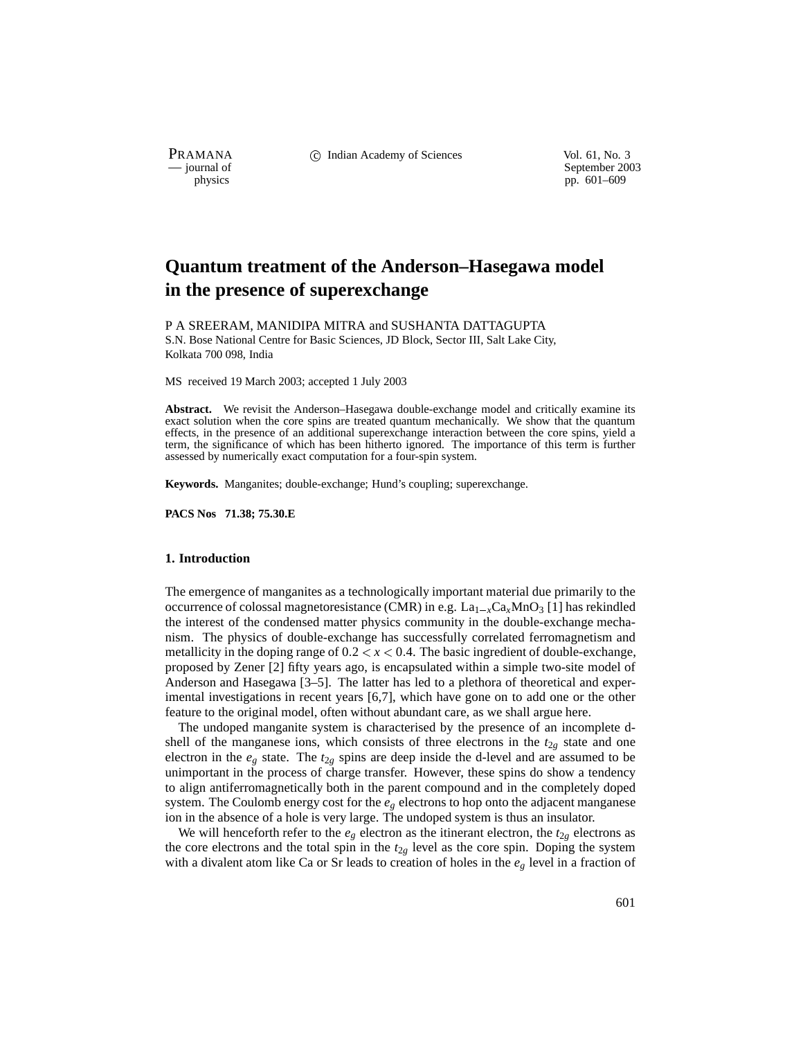PRAMANA C Indian Academy of Sciences Vol. 61, No. 3<br>
— journal of September 200

purnal of September 2003<br>
physics probability and the september 2003<br>
pp. 601–609 pp. 601–609

# **Quantum treatment of the Anderson–Hasegawa model in the presence of superexchange**

P A SREERAM, MANIDIPA MITRA and SUSHANTA DATTAGUPTA S.N. Bose National Centre for Basic Sciences, JD Block, Sector III, Salt Lake City,

Kolkata 700 098, India

MS received 19 March 2003; accepted 1 July 2003

**Abstract.** We revisit the Anderson–Hasegawa double-exchange model and critically examine its exact solution when the core spins are treated quantum mechanically. We show that the quantum effects, in the presence of an additional superexchange interaction between the core spins, yield a term, the significance of which has been hitherto ignored. The importance of this term is further assessed by numerically exact computation for a four-spin system.

**Keywords.** Manganites; double-exchange; Hund's coupling; superexchange.

**PACS Nos 71.38; 75.30.E**

## **1. Introduction**

The emergence of manganites as a technologically important material due primarily to the occurrence of colossal magnetoresistance (CMR) in e.g.  $La_{1-x}Ca_xMnO_3$  [1] has rekindled the interest of the condensed matter physics community in the double-exchange mechanism. The physics of double-exchange has successfully correlated ferromagnetism and metallicity in the doping range of  $0.2 < x < 0.4$ . The basic ingredient of double-exchange, proposed by Zener [2] fifty years ago, is encapsulated within a simple two-site model of Anderson and Hasegawa [3–5]. The latter has led to a plethora of theoretical and experimental investigations in recent years [6,7], which have gone on to add one or the other feature to the original model, often without abundant care, as we shall argue here.

The undoped manganite system is characterised by the presence of an incomplete dshell of the manganese ions, which consists of three electrons in the  $t_{2g}$  state and one electron in the  $e_g$  state. The  $t_{2g}$  spins are deep inside the d-level and are assumed to be unimportant in the process of charge transfer. However, these spins do show a tendency to align antiferromagnetically both in the parent compound and in the completely doped system. The Coulomb energy cost for the *eg* electrons to hop onto the adjacent manganese ion in the absence of a hole is very large. The undoped system is thus an insulator.

We will henceforth refer to the  $e_g$  electron as the itinerant electron, the  $t_{2g}$  electrons as the core electrons and the total spin in the  $t_{2g}$  level as the core spin. Doping the system with a divalent atom like Ca or Sr leads to creation of holes in the  $e<sub>g</sub>$  level in a fraction of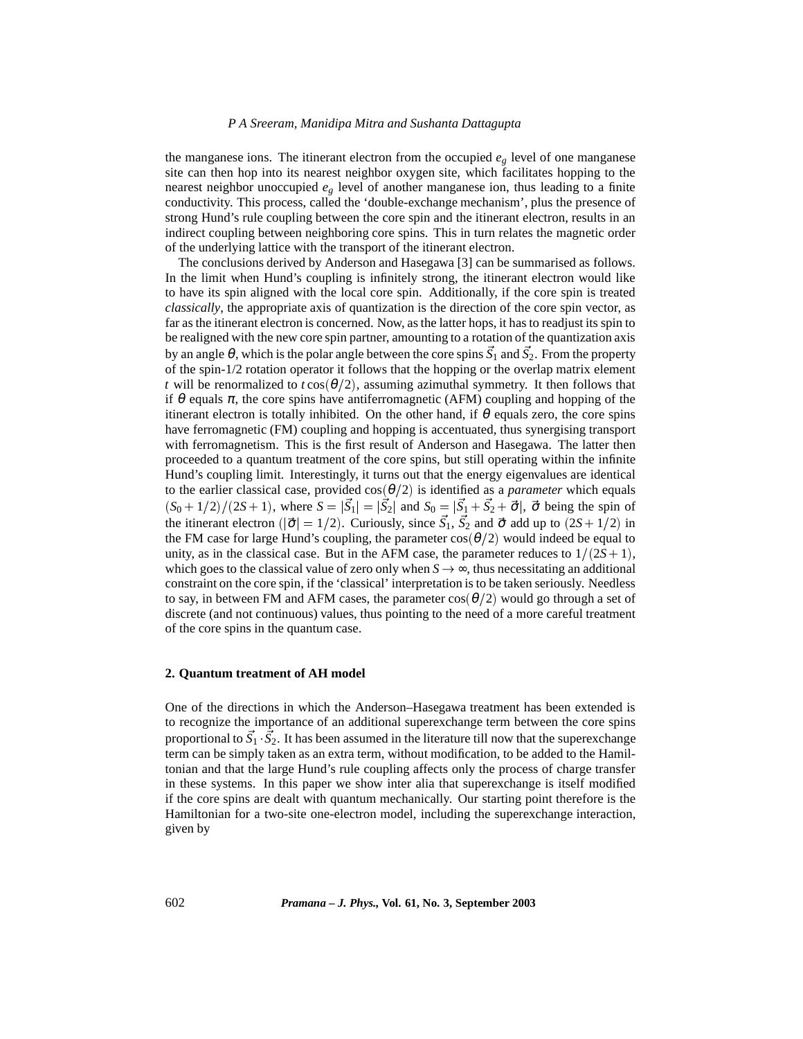### *P A Sreeram, Manidipa Mitra and Sushanta Dattagupta*

the manganese ions. The itinerant electron from the occupied  $e_g$  level of one manganese site can then hop into its nearest neighbor oxygen site, which facilitates hopping to the nearest neighbor unoccupied  $e<sub>g</sub>$  level of another manganese ion, thus leading to a finite conductivity. This process, called the 'double-exchange mechanism', plus the presence of strong Hund's rule coupling between the core spin and the itinerant electron, results in an indirect coupling between neighboring core spins. This in turn relates the magnetic order of the underlying lattice with the transport of the itinerant electron.

The conclusions derived by Anderson and Hasegawa [3] can be summarised as follows. In the limit when Hund's coupling is infinitely strong, the itinerant electron would like to have its spin aligned with the local core spin. Additionally, if the core spin is treated *classically*, the appropriate axis of quantization is the direction of the core spin vector, as far as the itinerant electron is concerned. Now, as the latter hops, it has to readjust its spin to be realigned with the new core spin partner, amounting to a rotation of the quantization axis by an angle θ, which is the polar angle between the core spins *S* <sup>1</sup> and *S* 2. From the property of the spin-1/2 rotation operator it follows that the hopping or the overlap matrix element *t* will be renormalized to  $t\cos(\theta/2)$ , assuming azimuthal symmetry. It then follows that if  $\theta$  equals  $\pi$ , the core spins have antiferromagnetic (AFM) coupling and hopping of the itinerant electron is totally inhibited. On the other hand, if  $\theta$  equals zero, the core spins have ferromagnetic (FM) coupling and hopping is accentuated, thus synergising transport with ferromagnetism. This is the first result of Anderson and Hasegawa. The latter then proceeded to a quantum treatment of the core spins, but still operating within the infinite Hund's coupling limit. Interestingly, it turns out that the energy eigenvalues are identical to the earlier classical case, provided  $cos(\theta/2)$  is identified as a *parameter* which equals  $(S_0 + 1/2)/(2S + 1)$ , where  $S = |S_1| = |S_2|$  and  $S_0 = |S_1 + S_2 + \vec{\sigma}|$ ,  $\vec{\sigma}$  being the spin of the itinerant electron ( $|\vec{\sigma}| = 1/2$ ). Curiously, since  $S_1$ ,  $S_2$  and  $\vec{\sigma}$  add up to  $(2S + 1/2)$  in the FM case for large Hund's coupling, the parameter  $cos(\theta/2)$  would indeed be equal to unity, as in the classical case. But in the AFM case, the parameter reduces to  $1/(2S+1)$ , which goes to the classical value of zero only when  $S \rightarrow \infty$ , thus necessitating an additional constraint on the core spin, if the 'classical' interpretation is to be taken seriously. Needless to say, in between FM and AFM cases, the parameter  $cos(\theta/2)$  would go through a set of discrete (and not continuous) values, thus pointing to the need of a more careful treatment of the core spins in the quantum case.

#### **2. Quantum treatment of AH model**

One of the directions in which the Anderson–Hasegawa treatment has been extended is to recognize the importance of an additional superexchange term between the core spins proportional to *S* <sup>1</sup> *S* 2. It has been assumed in the literature till now that the superexchange term can be simply taken as an extra term, without modification, to be added to the Hamiltonian and that the large Hund's rule coupling affects only the process of charge transfer in these systems. In this paper we show inter alia that superexchange is itself modified if the core spins are dealt with quantum mechanically. Our starting point therefore is the Hamiltonian for a two-site one-electron model, including the superexchange interaction, given by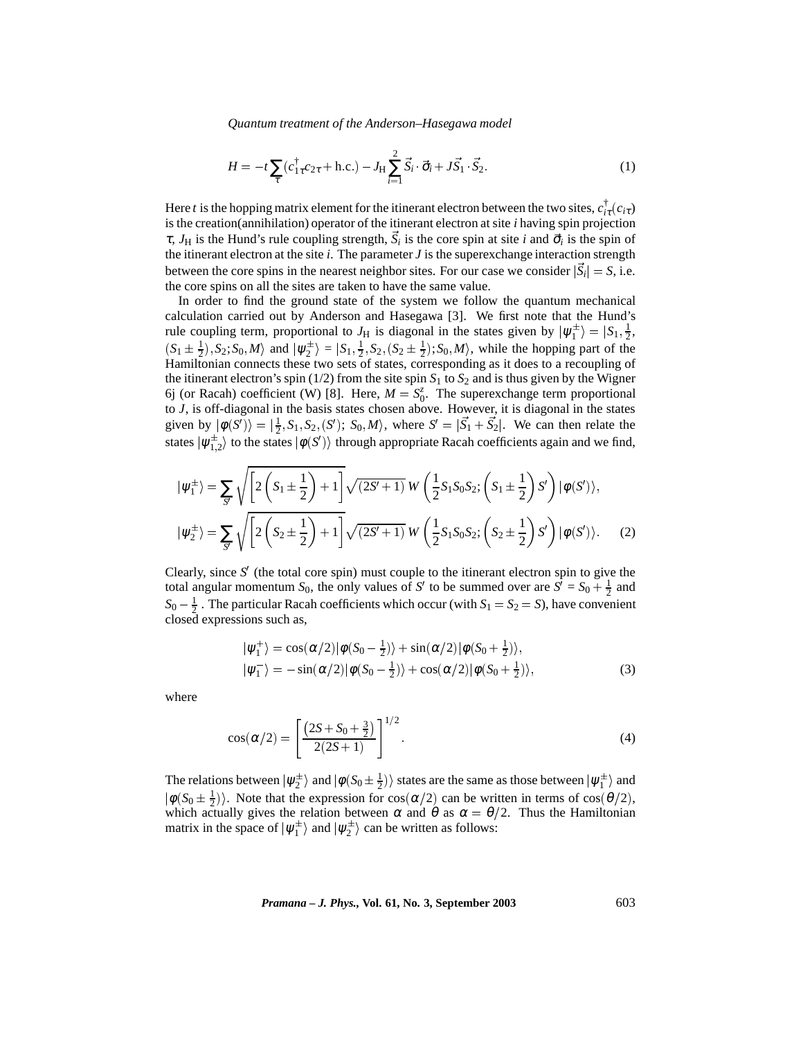*Quantum treatment of the Anderson–Hasegawa model*

$$
H = -t\sum_{\tau} (c_{1\tau}^{\dagger} c_{2\tau} + \text{h.c.}) - J_{\text{H}} \sum_{i=1}^{2} \vec{S}_{i} \cdot \vec{\sigma}_{i} + J\vec{S}_{1} \cdot \vec{S}_{2}.
$$
 (1)

Here *t* is the hopping matrix element for the itinerant electron between the two sites,  $c^{\dagger}_{i\tau}(c_{i\tau})$ is the creation(annihilation) operator of the itinerant electron at site *i* having spin projection  $\tau$ ,  $J_H$  is the Hund's rule coupling strength,  $\vec{S}_i$  is the core spin at site *i* and  $\vec{\sigma}_i$  is the spin of the itinerant electron at the site *i*. The parameter *J* is the superexchange interaction strength between the core spins in the nearest neighbor sites. For our case we consider  $|\dot{S}_i| = S$ , i.e. the core spins on all the sites are taken to have the same value.

In order to find the ground state of the system we follow the quantum mechanical calculation carried out by Anderson and Hasegawa [3]. We first note that the Hund's rule coupling term, proportional to  $J_H$  is diagonal in the states given by  $|\psi_1^{\pm}\rangle = |S_1, \frac{1}{2}, \frac{1}{2}, \frac{1}{2}, \frac{1}{2}, \frac{1}{2}, \frac{1}{2}, \frac{1}{2}, \frac{1}{2}, \frac{1}{2}, \frac{1}{2}, \frac{1}{2}, \frac{1}{2}, \frac{1}{2}, \frac{1}{2}, \frac{1}{2}, \frac{1}{2}, \frac{1}{2}, \frac{1}{2}, \frac{$  $(S_1 \pm \frac{1}{2}), S_2; S_0, M$  and  $|\psi_2^{\pm}\rangle = |S_1, \frac{1}{2}, S_2, (S_2 \pm \frac{1}{2}); S_0, M\rangle$ , while the hopping part of the Hamiltonian connects these two sets of states, corresponding as it does to a recoupling of the itinerant electron's spin ( $1/2$ ) from the site spin  $S_1$  to  $S_2$  and is thus given by the Wigner 6j (or Racah) coefficient (W) [8]. Here,  $M = S_0^z$ . The superexchange term proportional to *J*, is off-diagonal in the basis states chosen above. However, it is diagonal in the states given by  $|\phi(S')\rangle = |\frac{1}{2}, S_1, S_2, (S')$ ;  $S_0, M\rangle$ , where  $S' = |\vec{S_1} + \vec{S_2}|$ . We can then relate the states  $|\psi_{1,2}^{\pm}\rangle$  to the states  $|\phi(S')\rangle$  through appropriate Racah coefficients again and we find,

$$
|\psi_1^{\pm}\rangle = \sum_{S'} \sqrt{\left[2\left(S_1 \pm \frac{1}{2}\right) + 1\right]} \sqrt{(2S' + 1)} \, W\left(\frac{1}{2}S_1S_0S_2; \left(S_1 \pm \frac{1}{2}\right)S'\right) |\phi(S')\rangle,
$$
  

$$
|\psi_2^{\pm}\rangle = \sum_{S'} \sqrt{\left[2\left(S_2 \pm \frac{1}{2}\right) + 1\right]} \sqrt{(2S' + 1)} \, W\left(\frac{1}{2}S_1S_0S_2; \left(S_2 \pm \frac{1}{2}\right)S'\right) |\phi(S')\rangle.
$$
 (2)

Clearly, since  $S'$  (the total core spin) must couple to the itinerant electron spin to give the total angular momentum  $S_0$ , the only values of *S'* to be summed over are  $S^{\overline{j}} = S_0 + \frac{1}{2}$  and  $S_0 - \frac{1}{2}$ . The particular Racah coefficients which occur (with  $S_1 = S_2 = S$ ), have convenient closed expressions such as,

$$
\begin{aligned} |\psi_1^+\rangle &= \cos(\alpha/2)|\phi(S_0 - \frac{1}{2})\rangle + \sin(\alpha/2)|\phi(S_0 + \frac{1}{2})\rangle, \\ |\psi_1^-\rangle &= -\sin(\alpha/2)|\phi(S_0 - \frac{1}{2})\rangle + \cos(\alpha/2)|\phi(S_0 + \frac{1}{2})\rangle, \end{aligned} \tag{3}
$$

where

$$
\cos(\alpha/2) = \left[\frac{(2S + S_0 + \frac{3}{2})}{2(2S + 1)}\right]^{1/2}.
$$
\n(4)

The relations between  $|\psi_2^{\pm}\rangle$  and  $|\phi(S_0\pm\frac{1}{2})\rangle$  states are the same as those between  $|\psi_1^{\pm}\rangle$  and  $|\phi(S_0 \pm \frac{1}{2})\rangle$ . Note that the expression for cos( $\alpha/2$ ) can be written in terms of cos( $\theta/2$ ), which actually gives the relation between  $\alpha$  and  $\theta$  as  $\alpha = \theta/2$ . Thus the Hamiltonian matrix in the space of  $|\psi_1^{\pm}\rangle$  and  $|\psi_2^{\pm}\rangle$  can be written as follows: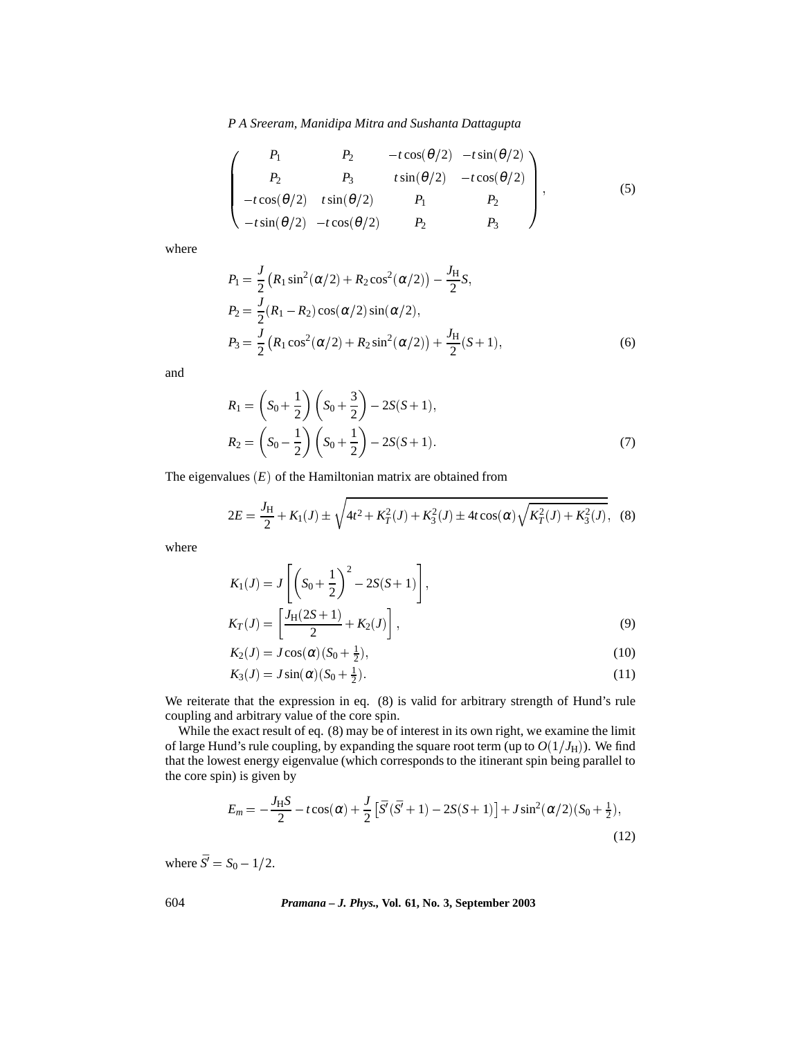*P A Sreeram, Manidipa Mitra and Sushanta Dattagupta*

$$
\begin{pmatrix}\nP_1 & P_2 & -t\cos(\theta/2) & -t\sin(\theta/2) \\
P_2 & P_3 & t\sin(\theta/2) & -t\cos(\theta/2) \\
-t\cos(\theta/2) & t\sin(\theta/2) & P_1 & P_2 \\
-t\sin(\theta/2) & -t\cos(\theta/2) & P_2 & P_3\n\end{pmatrix},
$$
\n(5)

where

$$
P_1 = \frac{J}{2} (R_1 \sin^2(\alpha/2) + R_2 \cos^2(\alpha/2)) - \frac{J_H}{2} S,
$$
  
\n
$$
P_2 = \frac{J}{2} (R_1 - R_2) \cos(\alpha/2) \sin(\alpha/2),
$$
  
\n
$$
P_3 = \frac{J}{2} (R_1 \cos^2(\alpha/2) + R_2 \sin^2(\alpha/2)) + \frac{J_H}{2} (S + 1),
$$
\n(6)

and

$$
R_1 = \left(S_0 + \frac{1}{2}\right) \left(S_0 + \frac{3}{2}\right) - 2S(S+1),
$$
  
\n
$$
R_2 = \left(S_0 - \frac{1}{2}\right) \left(S_0 + \frac{1}{2}\right) - 2S(S+1).
$$
\n(7)

The eigenvalues  $(E)$  of the Hamiltonian matrix are obtained from

$$
2E = \frac{J_H}{2} + K_1(J) \pm \sqrt{4t^2 + K_T^2(J) + K_3^2(J) \pm 4t \cos(\alpha) \sqrt{K_T^2(J) + K_3^2(J)}},
$$
 (8)

where

$$
K_1(J) = J\left[\left(S_0 + \frac{1}{2}\right)^2 - 2S(S+1)\right],
$$
  
\n
$$
K_T(J) = \left[\frac{J_H(2S+1)}{2} + K_2(J)\right],
$$
\n(9)

$$
K_2(J) = J\cos(\alpha)(S_0 + \frac{1}{2}),\tag{10}
$$

$$
K_3(J) = J\sin(\alpha)(S_0 + \frac{1}{2}).
$$
\n(11)

We reiterate that the expression in eq. (8) is valid for arbitrary strength of Hund's rule coupling and arbitrary value of the core spin.

While the exact result of eq. (8) may be of interest in its own right, we examine the limit of large Hund's rule coupling, by expanding the square root term (up to  $O(1/J_{\rm H}))$ . We find that the lowest energy eigenvalue (which corresponds to the itinerant spin being parallel to the core spin) is given by

$$
E_m = -\frac{J_H S}{2} - t \cos(\alpha) + \frac{J}{2} \left[ \bar{S}'(\bar{S}' + 1) - 2S(S + 1) \right] + J \sin^2(\alpha/2) (S_0 + \frac{1}{2}),
$$
\n(12)

where  $\bar{S}' = S_0 - 1/2$ .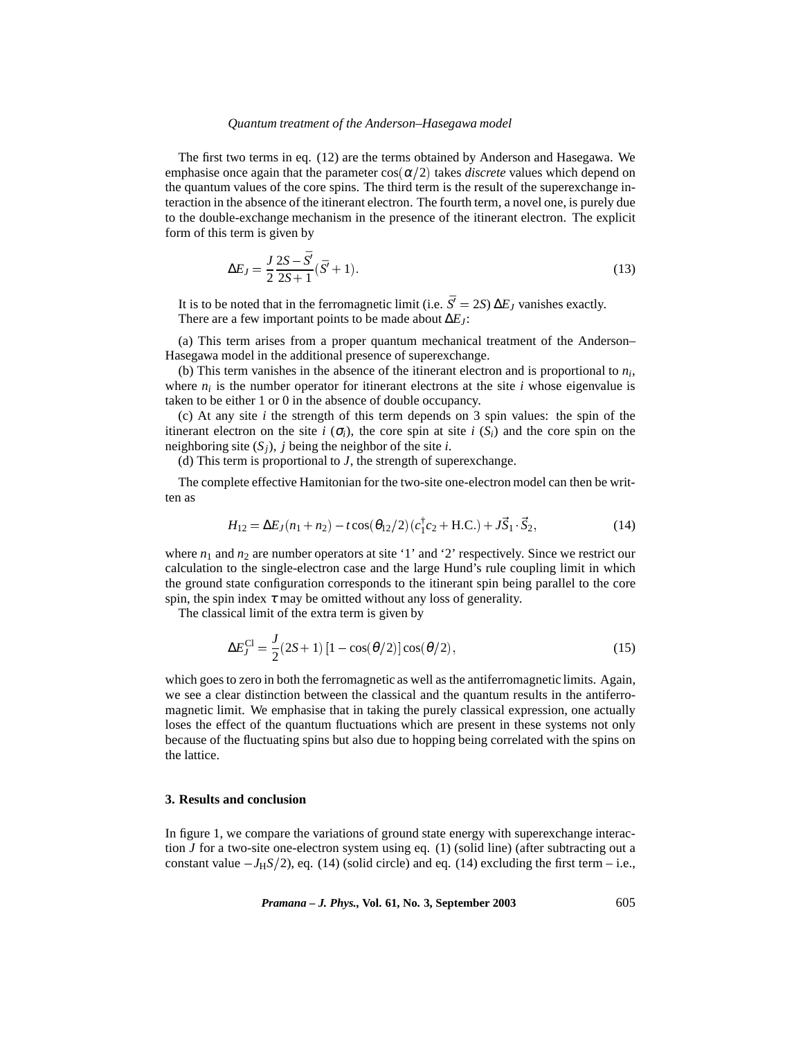#### *Quantum treatment of the Anderson–Hasegawa model*

The first two terms in eq. (12) are the terms obtained by Anderson and Hasegawa. We emphasise once again that the parameter  $cos(\alpha/2)$  takes *discrete* values which depend on the quantum values of the core spins. The third term is the result of the superexchange interaction in the absence of the itinerant electron. The fourth term, a novel one, is purely due to the double-exchange mechanism in the presence of the itinerant electron. The explicit form of this term is given by

$$
\Delta E_J = \frac{J}{2} \frac{2S - \bar{S}'}{2S + 1} (\bar{S}' + 1).
$$
\n(13)

It is to be noted that in the ferromagnetic limit (i.e.  $\bar{S}' = 2S$ )  $\Delta E_J$  vanishes exactly. There are a few important points to be made about ∆*EJ*:

(a) This term arises from a proper quantum mechanical treatment of the Anderson– Hasegawa model in the additional presence of superexchange.

(b) This term vanishes in the absence of the itinerant electron and is proportional to *ni*, where  $n_i$  is the number operator for itinerant electrons at the site *i* whose eigenvalue is taken to be either 1 or 0 in the absence of double occupancy.

(c) At any site *i* the strength of this term depends on 3 spin values: the spin of the itinerant electron on the site  $i(\sigma_i)$ , the core spin at site  $i(S_i)$  and the core spin on the neighboring site  $(S_i)$ , *j* being the neighbor of the site *i*.

(d) This term is proportional to *J*, the strength of superexchange.

The complete effective Hamitonian for the two-site one-electron model can then be written as

$$
H_{12} = \Delta E_J(n_1 + n_2) - t \cos(\theta_{12}/2)(c_1^{\dagger} c_2 + \text{H.C.}) + J\vec{S}_1 \cdot \vec{S}_2,
$$
(14)

where  $n_1$  and  $n_2$  are number operators at site '1' and '2' respectively. Since we restrict our calculation to the single-electron case and the large Hund's rule coupling limit in which the ground state configuration corresponds to the itinerant spin being parallel to the core spin, the spin index  $\tau$  may be omitted without any loss of generality.

The classical limit of the extra term is given by

$$
\Delta E_J^{\text{Cl}} = \frac{J}{2} (2S + 1) \left[ 1 - \cos(\theta/2) \right] \cos(\theta/2),\tag{15}
$$

which goes to zero in both the ferromagnetic as well as the antiferromagnetic limits. Again, we see a clear distinction between the classical and the quantum results in the antiferromagnetic limit. We emphasise that in taking the purely classical expression, one actually loses the effect of the quantum fluctuations which are present in these systems not only because of the fluctuating spins but also due to hopping being correlated with the spins on the lattice.

# **3. Results and conclusion**

In figure 1, we compare the variations of ground state energy with superexchange interaction *J* for a two-site one-electron system using eq. (1) (solid line) (after subtracting out a constant value  $-J_HS/2$ , eq. (14) (solid circle) and eq. (14) excluding the first term – i.e.,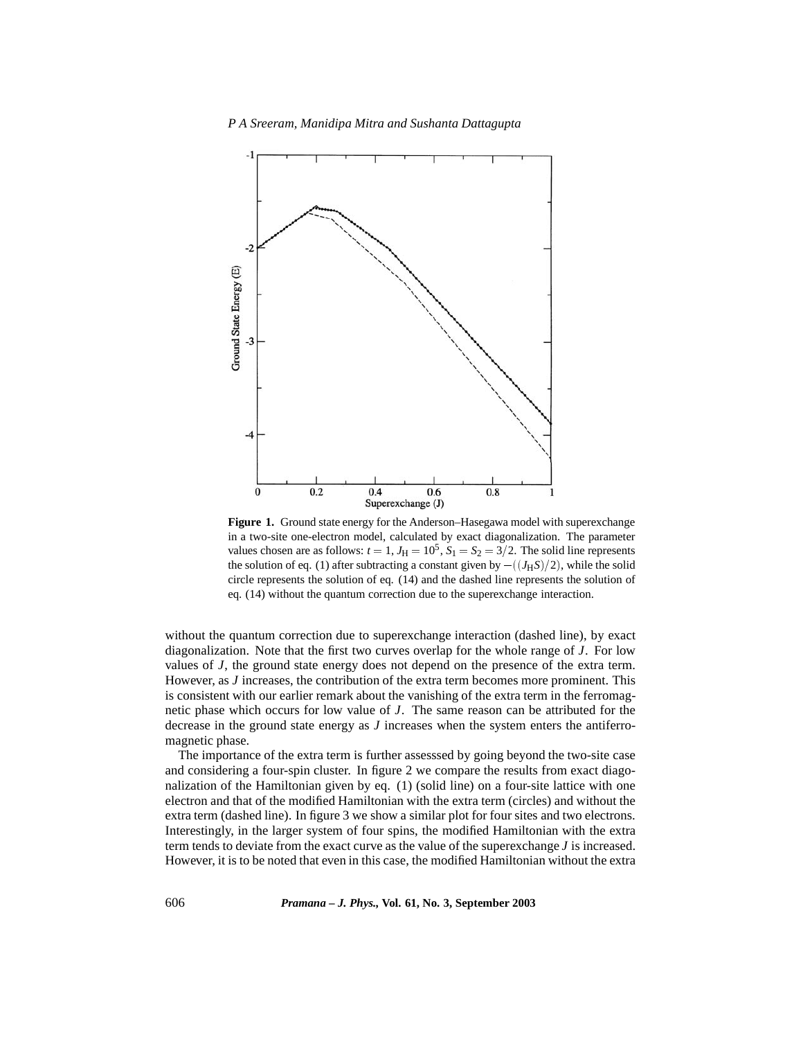

**Figure 1.** Ground state energy for the Anderson–Hasegawa model with superexchange in a two-site one-electron model, calculated by exact diagonalization. The parameter values chosen are as follows:  $t = 1$ ,  $J_H = 10^5$ ,  $S_1 = S_2 = 3/2$ . The solid line represents the solution of eq. (1) after subtracting a constant given by  $-((J_HS)/2)$ , while the solid circle represents the solution of eq. (14) and the dashed line represents the solution of eq. (14) without the quantum correction due to the superexchange interaction.

without the quantum correction due to superexchange interaction (dashed line), by exact diagonalization. Note that the first two curves overlap for the whole range of *J*. For low values of *J*, the ground state energy does not depend on the presence of the extra term. However, as *J* increases, the contribution of the extra term becomes more prominent. This is consistent with our earlier remark about the vanishing of the extra term in the ferromagnetic phase which occurs for low value of *J*. The same reason can be attributed for the decrease in the ground state energy as *J* increases when the system enters the antiferromagnetic phase.

The importance of the extra term is further assesssed by going beyond the two-site case and considering a four-spin cluster. In figure 2 we compare the results from exact diagonalization of the Hamiltonian given by eq. (1) (solid line) on a four-site lattice with one electron and that of the modified Hamiltonian with the extra term (circles) and without the extra term (dashed line). In figure 3 we show a similar plot for four sites and two electrons. Interestingly, in the larger system of four spins, the modified Hamiltonian with the extra term tends to deviate from the exact curve as the value of the superexchange *J* is increased. However, it is to be noted that even in this case, the modified Hamiltonian without the extra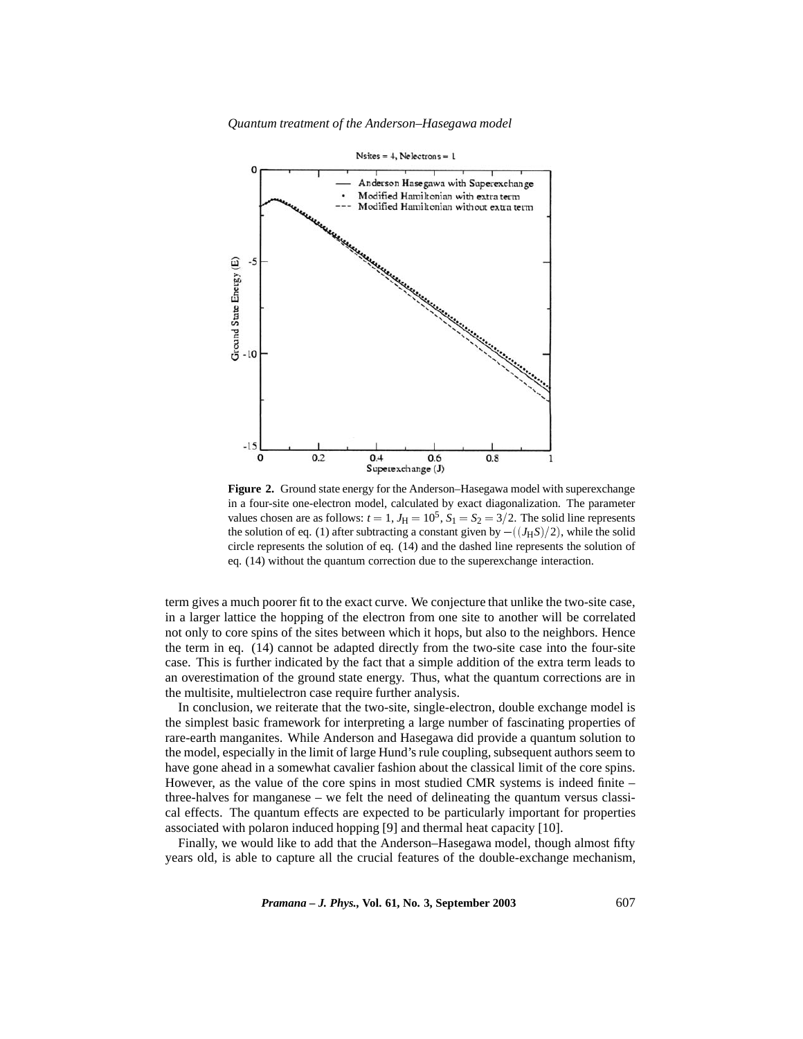*Quantum treatment of the Anderson–Hasegawa model*



**Figure 2.** Ground state energy for the Anderson–Hasegawa model with superexchange in a four-site one-electron model, calculated by exact diagonalization. The parameter values chosen are as follows:  $t = 1$ ,  $J_H = 10^5$ ,  $S_1 = S_2 = 3/2$ . The solid line represents the solution of eq. (1) after subtracting a constant given by  $-((J_HS)/2)$ , while the solid circle represents the solution of eq. (14) and the dashed line represents the solution of eq. (14) without the quantum correction due to the superexchange interaction.

term gives a much poorer fit to the exact curve. We conjecture that unlike the two-site case, in a larger lattice the hopping of the electron from one site to another will be correlated not only to core spins of the sites between which it hops, but also to the neighbors. Hence the term in eq. (14) cannot be adapted directly from the two-site case into the four-site case. This is further indicated by the fact that a simple addition of the extra term leads to an overestimation of the ground state energy. Thus, what the quantum corrections are in the multisite, multielectron case require further analysis.

In conclusion, we reiterate that the two-site, single-electron, double exchange model is the simplest basic framework for interpreting a large number of fascinating properties of rare-earth manganites. While Anderson and Hasegawa did provide a quantum solution to the model, especially in the limit of large Hund's rule coupling, subsequent authors seem to have gone ahead in a somewhat cavalier fashion about the classical limit of the core spins. However, as the value of the core spins in most studied CMR systems is indeed finite – three-halves for manganese – we felt the need of delineating the quantum versus classical effects. The quantum effects are expected to be particularly important for properties associated with polaron induced hopping [9] and thermal heat capacity [10].

Finally, we would like to add that the Anderson–Hasegawa model, though almost fifty years old, is able to capture all the crucial features of the double-exchange mechanism,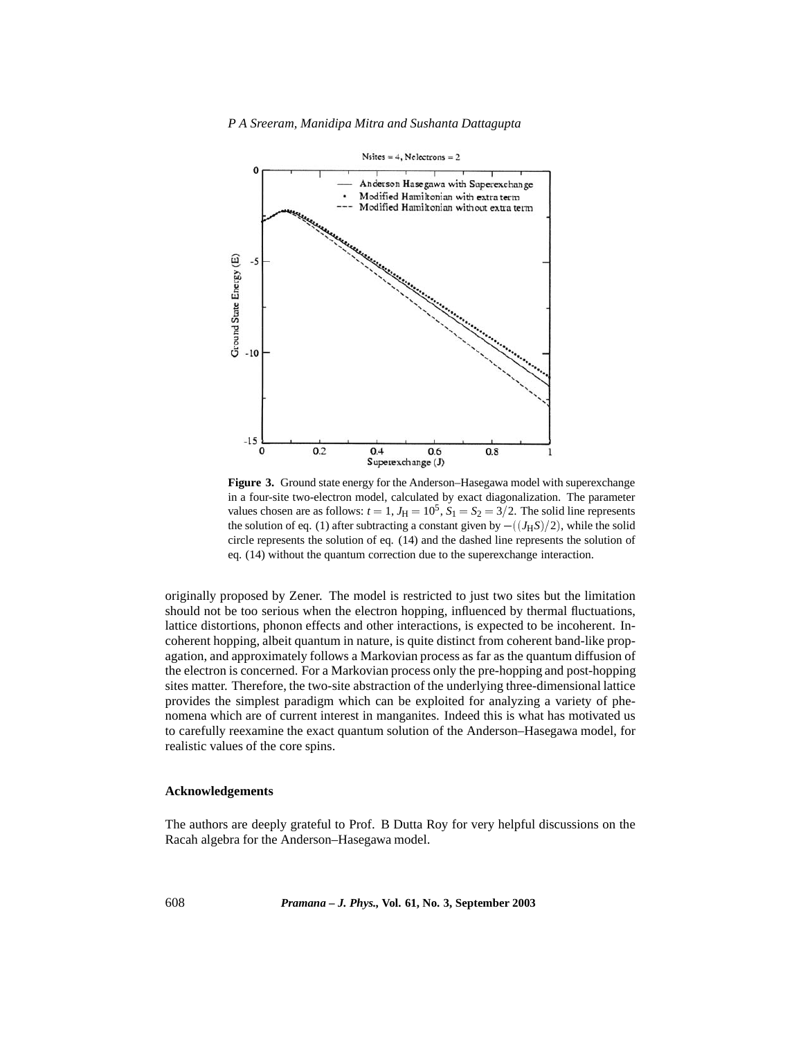

**Figure 3.** Ground state energy for the Anderson–Hasegawa model with superexchange in a four-site two-electron model, calculated by exact diagonalization. The parameter values chosen are as follows:  $t = 1$ ,  $J_H = 10^5$ ,  $S_1 = S_2 = 3/2$ . The solid line represents the solution of eq. (1) after subtracting a constant given by  $-((J_HS)/2)$ , while the solid circle represents the solution of eq. (14) and the dashed line represents the solution of eq. (14) without the quantum correction due to the superexchange interaction.

originally proposed by Zener. The model is restricted to just two sites but the limitation should not be too serious when the electron hopping, influenced by thermal fluctuations, lattice distortions, phonon effects and other interactions, is expected to be incoherent. Incoherent hopping, albeit quantum in nature, is quite distinct from coherent band-like propagation, and approximately follows a Markovian process as far as the quantum diffusion of the electron is concerned. For a Markovian process only the pre-hopping and post-hopping sites matter. Therefore, the two-site abstraction of the underlying three-dimensional lattice provides the simplest paradigm which can be exploited for analyzing a variety of phenomena which are of current interest in manganites. Indeed this is what has motivated us to carefully reexamine the exact quantum solution of the Anderson–Hasegawa model, for realistic values of the core spins.

## **Acknowledgements**

The authors are deeply grateful to Prof. B Dutta Roy for very helpful discussions on the Racah algebra for the Anderson–Hasegawa model.